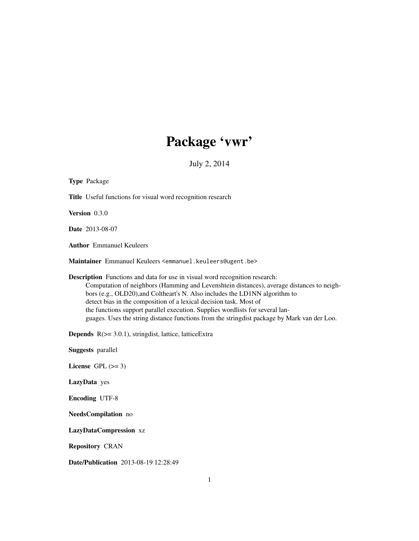# Package 'vwr'

July 2, 2014

<span id="page-0-0"></span>

| <b>Type Package</b>                                                                                                                                                                                                                                                                                                                                                                                                                                                                                                  |
|----------------------------------------------------------------------------------------------------------------------------------------------------------------------------------------------------------------------------------------------------------------------------------------------------------------------------------------------------------------------------------------------------------------------------------------------------------------------------------------------------------------------|
| Title Useful functions for visual word recognition research                                                                                                                                                                                                                                                                                                                                                                                                                                                          |
| Version 0.3.0                                                                                                                                                                                                                                                                                                                                                                                                                                                                                                        |
| <b>Date</b> 2013-08-07                                                                                                                                                                                                                                                                                                                                                                                                                                                                                               |
| <b>Author</b> Emmanuel Keuleers                                                                                                                                                                                                                                                                                                                                                                                                                                                                                      |
| Maintainer Emmanuel Keuleers <emmanuel.keuleers@ugent.be></emmanuel.keuleers@ugent.be>                                                                                                                                                                                                                                                                                                                                                                                                                               |
| <b>Description</b> Functions and data for use in visual word recognition research:<br>Computation of neighbors (Hamming and Levenshtein distances), average distances to neigh-<br>bors (e.g., OLD20), and Coltheart's N. Also includes the LD1NN algorithm to<br>detect bias in the composition of a lexical decision task. Most of<br>the functions support parallel execution. Supplies wordlists for several lan-<br>guages. Uses the string distance functions from the stringdist package by Mark van der Loo. |
| <b>Depends</b> $R$ ( $> = 3.0.1$ ), stringdist, lattice, lattice Extra                                                                                                                                                                                                                                                                                                                                                                                                                                               |
| <b>Suggests</b> parallel                                                                                                                                                                                                                                                                                                                                                                                                                                                                                             |
| License GPL $(>= 3)$                                                                                                                                                                                                                                                                                                                                                                                                                                                                                                 |
| LazyData yes                                                                                                                                                                                                                                                                                                                                                                                                                                                                                                         |
| <b>Encoding UTF-8</b>                                                                                                                                                                                                                                                                                                                                                                                                                                                                                                |
| NeedsCompilation no                                                                                                                                                                                                                                                                                                                                                                                                                                                                                                  |
| LazyDataCompression xz                                                                                                                                                                                                                                                                                                                                                                                                                                                                                               |
| <b>Repository CRAN</b>                                                                                                                                                                                                                                                                                                                                                                                                                                                                                               |
| Date/Publication 2013-08-19 12:28:49                                                                                                                                                                                                                                                                                                                                                                                                                                                                                 |
| 1                                                                                                                                                                                                                                                                                                                                                                                                                                                                                                                    |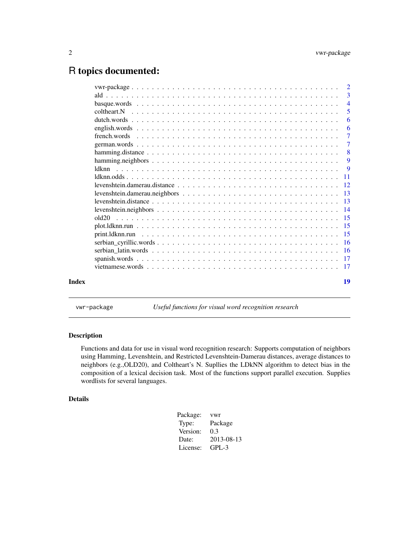# <span id="page-1-0"></span>R topics documented:

|       | $\overline{2}$  |
|-------|-----------------|
|       | 3               |
|       | $\overline{4}$  |
|       | 5               |
|       | 6               |
|       | 6               |
|       | $\overline{7}$  |
|       | $\overline{7}$  |
|       | 8               |
|       | 9               |
|       | 9               |
|       | $\overline{11}$ |
|       |                 |
|       |                 |
|       |                 |
|       |                 |
|       |                 |
|       |                 |
|       |                 |
|       |                 |
|       |                 |
|       |                 |
|       |                 |
|       |                 |
| Index | 19              |
|       |                 |

vwr-package *Useful functions for visual word recognition research*

# Description

Functions and data for use in visual word recognition research: Supports computation of neighbors using Hamming, Levenshtein, and Restricted Levenshtein-Damerau distances, average distances to neighbors (e.g.,OLD20), and Coltheart's N. Supllies the LDkNN algorithm to detect bias in the composition of a lexical decision task. Most of the functions support parallel execution. Supplies wordlists for several languages.

# Details

| Package: | <b>vwr</b> |
|----------|------------|
| Type:    | Package    |
| Version: | 0.3        |
| Date:    | 2013-08-13 |
| License: | $GPL-3$    |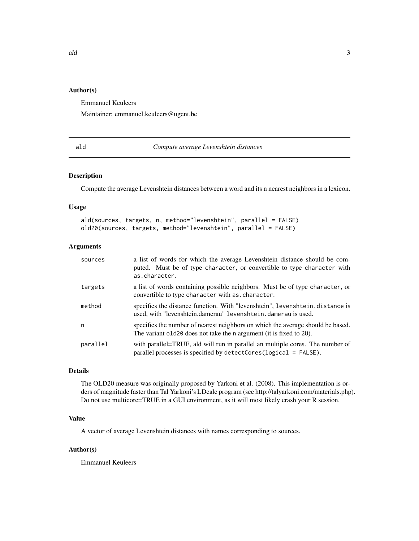# <span id="page-2-0"></span>Author(s)

Emmanuel Keuleers

Maintainer: emmanuel.keuleers@ugent.be

<span id="page-2-1"></span>ald *Compute average Levenshtein distances*

# Description

Compute the average Levenshtein distances between a word and its n nearest neighbors in a lexicon.

#### Usage

ald(sources, targets, n, method="levenshtein", parallel = FALSE) old20(sources, targets, method="levenshtein", parallel = FALSE)

# Arguments

| sources  | a list of words for which the average Levenshtein distance should be com-<br>puted. Must be of type character, or convertible to type character with<br>as.character. |
|----------|-----------------------------------------------------------------------------------------------------------------------------------------------------------------------|
| targets  | a list of words containing possible neighbors. Must be of type character, or<br>convertible to type character with as character.                                      |
| method   | specifies the distance function. With "levenshtein", levenshtein.distance is<br>used, with "levenshtein.damerau" levenshtein.damerau is used.                         |
| n        | specifies the number of nearest neighbors on which the average should be based.<br>The variant old 20 does not take the n argument (it is fixed to 20).               |
| parallel | with parallel=TRUE, ald will run in parallel an multiple cores. The number of<br>parallel processes is specified by detectCores(logical = FALSE).                     |

#### Details

The OLD20 measure was originally proposed by Yarkoni et al. (2008). This implementation is orders of magnitude faster than Tal Yarkoni's LDcalc program (see http://talyarkoni.com/materials.php). Do not use multicore=TRUE in a GUI environment, as it will most likely crash your R session.

#### Value

A vector of average Levenshtein distances with names corresponding to sources.

#### Author(s)

Emmanuel Keuleers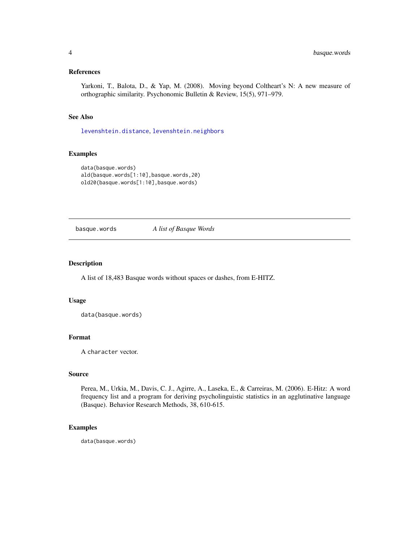# <span id="page-3-0"></span>References

Yarkoni, T., Balota, D., & Yap, M. (2008). Moving beyond Coltheart's N: A new measure of orthographic similarity. Psychonomic Bulletin & Review, 15(5), 971–979.

# See Also

[levenshtein.distance](#page-12-1), [levenshtein.neighbors](#page-13-1)

# Examples

```
data(basque.words)
ald(basque.words[1:10],basque.words,20)
old20(basque.words[1:10],basque.words)
```
basque.words *A list of Basque Words*

# Description

A list of 18,483 Basque words without spaces or dashes, from E-HITZ.

#### Usage

data(basque.words)

# Format

A character vector.

#### Source

Perea, M., Urkia, M., Davis, C. J., Agirre, A., Laseka, E., & Carreiras, M. (2006). E-Hitz: A word frequency list and a program for deriving psycholinguistic statistics in an agglutinative language (Basque). Behavior Research Methods, 38, 610-615.

# Examples

data(basque.words)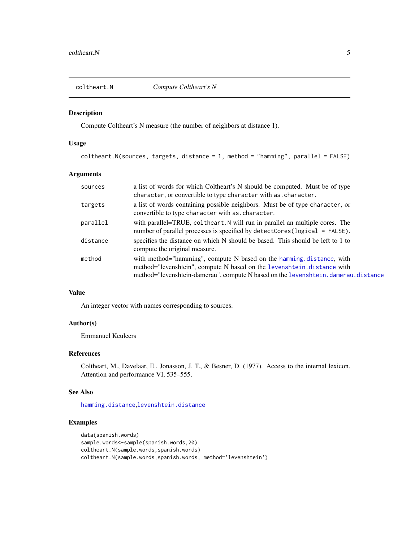<span id="page-4-1"></span><span id="page-4-0"></span>

# Description

Compute Coltheart's N measure (the number of neighbors at distance 1).

# Usage

coltheart.N(sources, targets, distance = 1, method = "hamming", parallel = FALSE)

# Arguments

| sources  | a list of words for which Coltheart's N should be computed. Must be of type<br>character, or convertible to type character with as . character.                                                                                     |
|----------|-------------------------------------------------------------------------------------------------------------------------------------------------------------------------------------------------------------------------------------|
| targets  | a list of words containing possible neighbors. Must be of type character, or<br>convertible to type character with as character.                                                                                                    |
| parallel | with parallel=TRUE, coltheart. N will run in parallel an multiple cores. The<br>number of parallel processes is specified by detectCores(logical = FALSE).                                                                          |
| distance | specifies the distance on which N should be based. This should be left to 1 to<br>compute the original measure.                                                                                                                     |
| method   | with method="hamming", compute N based on the hamming distance, with<br>method="levenshtein", compute N based on the levenshtein.distance with<br>method="levenshtein-damerau", compute N based on the levenshtein.damerau.distance |

# Value

An integer vector with names corresponding to sources.

# Author(s)

Emmanuel Keuleers

# References

Coltheart, M., Davelaar, E., Jonasson, J. T., & Besner, D. (1977). Access to the internal lexicon. Attention and performance VI, 535–555.

# See Also

[hamming.distance](#page-7-1),[levenshtein.distance](#page-12-1)

# Examples

```
data(spanish.words)
sample.words<-sample(spanish.words,20)
coltheart.N(sample.words,spanish.words)
coltheart.N(sample.words,spanish.words, method='levenshtein')
```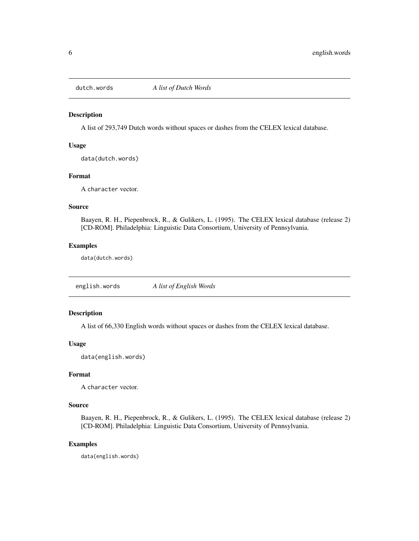<span id="page-5-0"></span>

#### Description

A list of 293,749 Dutch words without spaces or dashes from the CELEX lexical database.

#### Usage

data(dutch.words)

# Format

A character vector.

# Source

Baayen, R. H., Piepenbrock, R., & Gulikers, L. (1995). The CELEX lexical database (release 2) [CD-ROM]. Philadelphia: Linguistic Data Consortium, University of Pennsylvania.

#### Examples

data(dutch.words)

english.words *A list of English Words*

#### Description

A list of 66,330 English words without spaces or dashes from the CELEX lexical database.

# Usage

data(english.words)

# Format

A character vector.

# Source

Baayen, R. H., Piepenbrock, R., & Gulikers, L. (1995). The CELEX lexical database (release 2) [CD-ROM]. Philadelphia: Linguistic Data Consortium, University of Pennsylvania.

# Examples

data(english.words)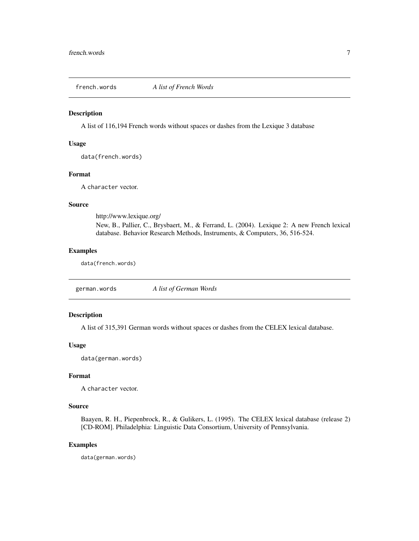<span id="page-6-0"></span>

# Description

A list of 116,194 French words without spaces or dashes from the Lexique 3 database

#### Usage

data(french.words)

# Format

A character vector.

# Source

http://www.lexique.org/

New, B., Pallier, C., Brysbaert, M., & Ferrand, L. (2004). Lexique 2: A new French lexical database. Behavior Research Methods, Instruments, & Computers, 36, 516-524.

#### Examples

data(french.words)

german.words *A list of German Words*

# Description

A list of 315,391 German words without spaces or dashes from the CELEX lexical database.

#### Usage

data(german.words)

# Format

A character vector.

# Source

Baayen, R. H., Piepenbrock, R., & Gulikers, L. (1995). The CELEX lexical database (release 2) [CD-ROM]. Philadelphia: Linguistic Data Consortium, University of Pennsylvania.

## Examples

data(german.words)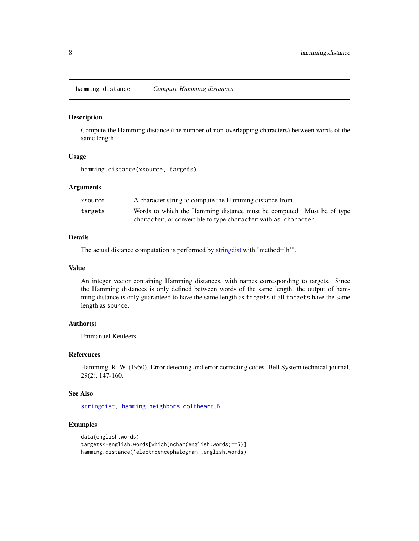<span id="page-7-1"></span><span id="page-7-0"></span>hamming.distance *Compute Hamming distances*

#### Description

Compute the Hamming distance (the number of non-overlapping characters) between words of the same length.

#### Usage

hamming.distance(xsource, targets)

#### Arguments

| xsource | A character string to compute the Hamming distance from.              |
|---------|-----------------------------------------------------------------------|
| targets | Words to which the Hamming distance must be computed. Must be of type |
|         | character, or convertible to type character with as . character.      |

# Details

The actual distance computation is performed by [stringdist](#page-0-0) with "method='h'".

#### Value

An integer vector containing Hamming distances, with names corresponding to targets. Since the Hamming distances is only defined between words of the same length, the output of hamming.distance is only guaranteed to have the same length as targets if all targets have the same length as source.

# Author(s)

Emmanuel Keuleers

# References

Hamming, R. W. (1950). Error detecting and error correcting codes. Bell System technical journal, 29(2), 147-160.

# See Also

[stringdist,](#page-0-0) [hamming.neighbors](#page-8-1), [coltheart.N](#page-4-1)

# Examples

```
data(english.words)
targets<-english.words[which(nchar(english.words)==5)]
hamming.distance('electroencephalogram',english.words)
```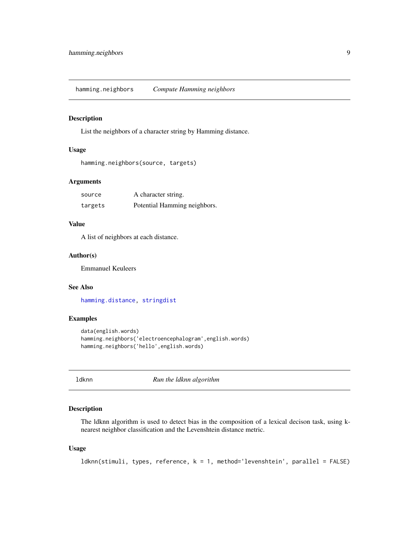<span id="page-8-1"></span><span id="page-8-0"></span>hamming.neighbors *Compute Hamming neighbors*

#### Description

List the neighbors of a character string by Hamming distance.

# Usage

```
hamming.neighbors(source, targets)
```
#### Arguments

| source  | A character string.          |
|---------|------------------------------|
| targets | Potential Hamming neighbors. |

# Value

A list of neighbors at each distance.

# Author(s)

Emmanuel Keuleers

# See Also

[hamming.distance,](#page-7-1) [stringdist](#page-0-0)

#### Examples

```
data(english.words)
hamming.neighbors('electroencephalogram',english.words)
hamming.neighbors('hello',english.words)
```
<span id="page-8-2"></span>ldknn *Run the ldknn algorithm*

# Description

The ldknn algorithm is used to detect bias in the composition of a lexical decison task, using knearest neighbor classification and the Levenshtein distance metric.

#### Usage

```
ldknn(stimuli, types, reference, k = 1, method='levenshtein', parallel = FALSE)
```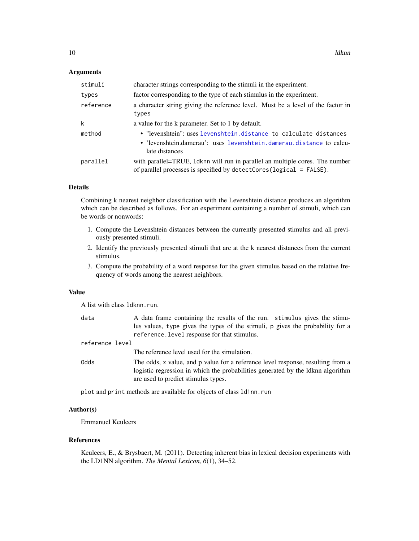#### <span id="page-9-0"></span>**Arguments**

| stimuli   | character strings corresponding to the stimuli in the experiment.                                                                                           |
|-----------|-------------------------------------------------------------------------------------------------------------------------------------------------------------|
| types     | factor corresponding to the type of each stimulus in the experiment.                                                                                        |
| reference | a character string giving the reference level. Must be a level of the factor in<br>types                                                                    |
| k         | a value for the k parameter. Set to 1 by default.                                                                                                           |
| method    | . "levenshtein": uses levenshtein.distance to calculate distances<br>• 'levenshtein.damerau': uses levenshtein.damerau.distance to calcu-<br>late distances |
| parallel  | with parallel=TRUE, 1 dknn will run in parallel an multiple cores. The number<br>of parallel processes is specified by detectCores (logical = FALSE).       |

# Details

Combining k nearest neighbor classification with the Levenshtein distance produces an algorithm which can be described as follows. For an experiment containing a number of stimuli, which can be words or nonwords:

- 1. Compute the Levenshtein distances between the currently presented stimulus and all previously presented stimuli.
- 2. Identify the previously presented stimuli that are at the k nearest distances from the current stimulus.
- 3. Compute the probability of a word response for the given stimulus based on the relative frequency of words among the nearest neighbors.

#### Value

A list with class ldknn.run.

| data                                                                                                                           | A data frame containing the results of the run. stimulus gives the stimu-                                                                                                                                                                                                                                                          |
|--------------------------------------------------------------------------------------------------------------------------------|------------------------------------------------------------------------------------------------------------------------------------------------------------------------------------------------------------------------------------------------------------------------------------------------------------------------------------|
|                                                                                                                                | lus values, type gives the types of the stimuli, p gives the probability for a                                                                                                                                                                                                                                                     |
|                                                                                                                                | reference. level response for that stimulus.                                                                                                                                                                                                                                                                                       |
| reference level                                                                                                                |                                                                                                                                                                                                                                                                                                                                    |
|                                                                                                                                | The reference level used for the simulation.                                                                                                                                                                                                                                                                                       |
| Odds                                                                                                                           | The odds, z value, and p value for a reference level response, resulting from a<br>logistic regression in which the probabilities generated by the ldknn algorithm<br>are used to predict stimulus types.                                                                                                                          |
| $\mathbf{1}$ , and $\mathbf{1}$ , and $\mathbf{1}$ , and $\mathbf{1}$ , and $\mathbf{1}$ , and $\mathbf{1}$ , and $\mathbf{1}$ | $\mathbf{1}$ $\mathbf{1}$ $\mathbf{1}$ $\mathbf{2}$ $\mathbf{3}$ $\mathbf{1}$ $\mathbf{1}$ $\mathbf{3}$ $\mathbf{1}$ $\mathbf{3}$ $\mathbf{1}$ $\mathbf{3}$ $\mathbf{1}$ $\mathbf{3}$ $\mathbf{1}$ $\mathbf{3}$ $\mathbf{1}$ $\mathbf{3}$ $\mathbf{1}$ $\mathbf{3}$ $\mathbf{1}$ $\mathbf{3}$ $\mathbf{1}$ $\mathbf{3}$ $\mathbf{$ |

plot and print methods are available for objects of class ld1nn.run

# Author(s)

Emmanuel Keuleers

# References

Keuleers, E., & Brysbaert, M. (2011). Detecting inherent bias in lexical decision experiments with the LD1NN algorithm. *The Mental Lexicon, 6*(1), 34–52.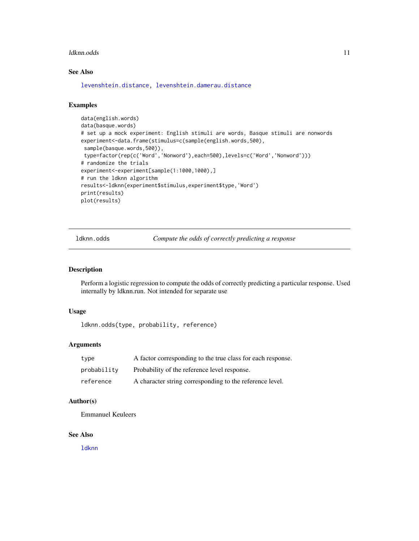#### <span id="page-10-0"></span>ldknn.odds 11

# See Also

[levenshtein.distance,](#page-12-1) [levenshtein.damerau.distance](#page-11-1)

# Examples

```
data(english.words)
data(basque.words)
# set up a mock experiment: English stimuli are words, Basque stimuli are nonwords
experiment<-data.frame(stimulus=c(sample(english.words,500),
 sample(basque.words,500)),
 type=factor(rep(c('Word','Nonword'),each=500),levels=c('Word','Nonword')))
# randomize the trials
experiment<-experiment[sample(1:1000,1000),]
# run the ldknn algorithm
results<-ldknn(experiment$stimulus,experiment$type,'Word')
print(results)
plot(results)
```
ldknn.odds *Compute the odds of correctly predicting a response*

# Description

Perform a logistic regression to compute the odds of correctly predicting a particular response. Used internally by ldknn.run. Not intended for separate use

# Usage

```
ldknn.odds(type, probability, reference)
```
# Arguments

| type        | A factor corresponding to the true class for each response. |
|-------------|-------------------------------------------------------------|
| probability | Probability of the reference level response.                |
| reference   | A character string corresponding to the reference level.    |

# Author(s)

Emmanuel Keuleers

#### See Also

[ldknn](#page-8-2)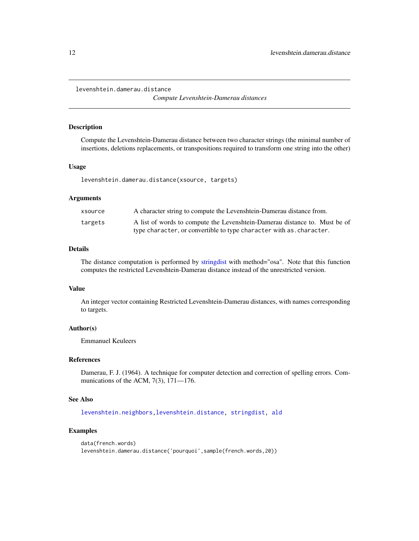<span id="page-11-1"></span><span id="page-11-0"></span>levenshtein.damerau.distance

*Compute Levenshtein-Damerau distances*

#### Description

Compute the Levenshtein-Damerau distance between two character strings (the minimal number of insertions, deletions replacements, or transpositions required to transform one string into the other)

#### Usage

levenshtein.damerau.distance(xsource, targets)

# Arguments

| xsource | A character string to compute the Levenshtein-Damerau distance from.       |
|---------|----------------------------------------------------------------------------|
| targets | A list of words to compute the Levenshtein-Damerau distance to. Must be of |
|         | type character, or convertible to type character with as, character.       |

#### Details

The distance computation is performed by [stringdist](#page-0-0) with method="osa". Note that this function computes the restricted Levenshtein-Damerau distance instead of the unrestricted version.

# Value

An integer vector containing Restricted Levenshtein-Damerau distances, with names corresponding to targets.

#### Author(s)

Emmanuel Keuleers

# References

Damerau, F. J. (1964). A technique for computer detection and correction of spelling errors. Communications of the ACM, 7(3), 171—176.

# See Also

[levenshtein.neighbors,](#page-13-1)[levenshtein.distance,](#page-12-1) [stringdist,](#page-0-0) [ald](#page-2-1)

#### Examples

```
data(french.words)
levenshtein.damerau.distance('pourquoi',sample(french.words,20))
```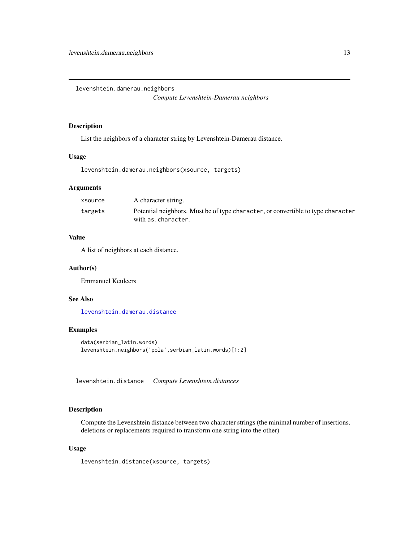<span id="page-12-0"></span>levenshtein.damerau.neighbors

*Compute Levenshtein-Damerau neighbors*

#### Description

List the neighbors of a character string by Levenshtein-Damerau distance.

#### Usage

levenshtein.damerau.neighbors(xsource, targets)

# Arguments

| xsource | A character string.                                                                                    |
|---------|--------------------------------------------------------------------------------------------------------|
| targets | Potential neighbors. Must be of type character, or convertible to type character<br>with as.character. |

# Value

A list of neighbors at each distance.

#### Author(s)

Emmanuel Keuleers

# See Also

[levenshtein.damerau.distance](#page-11-1)

# Examples

```
data(serbian_latin.words)
levenshtein.neighbors('pola',serbian_latin.words)[1:2]
```
<span id="page-12-1"></span>levenshtein.distance *Compute Levenshtein distances*

# Description

Compute the Levenshtein distance between two character strings (the minimal number of insertions, deletions or replacements required to transform one string into the other)

#### Usage

```
levenshtein.distance(xsource, targets)
```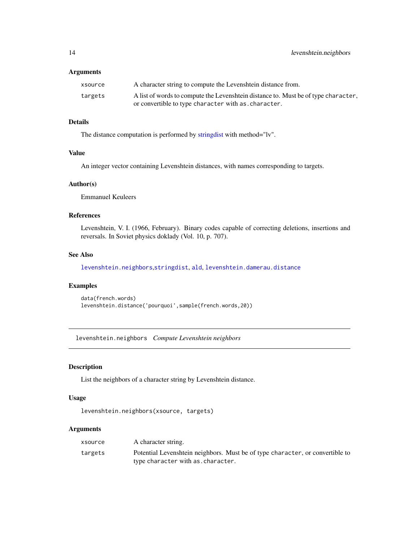#### <span id="page-13-0"></span>Arguments

| xsource | A character string to compute the Levenshtein distance from.                       |
|---------|------------------------------------------------------------------------------------|
| targets | A list of words to compute the Levenshtein distance to. Must be of type character, |
|         | or convertible to type character with as character.                                |

# Details

The distance computation is performed by [stringdist](#page-0-0) with method="lv".

#### Value

An integer vector containing Levenshtein distances, with names corresponding to targets.

# Author(s)

Emmanuel Keuleers

# References

Levenshtein, V. I. (1966, February). Binary codes capable of correcting deletions, insertions and reversals. In Soviet physics doklady (Vol. 10, p. 707).

#### See Also

[levenshtein.neighbors](#page-13-1),[stringdist](#page-0-0), [ald](#page-2-1), [levenshtein.damerau.distance](#page-11-1)

# Examples

```
data(french.words)
levenshtein.distance('pourquoi',sample(french.words,20))
```
<span id="page-13-1"></span>levenshtein.neighbors *Compute Levenshtein neighbors*

# Description

List the neighbors of a character string by Levenshtein distance.

# Usage

levenshtein.neighbors(xsource, targets)

# Arguments

| xsource | A character string.                                                                                                |
|---------|--------------------------------------------------------------------------------------------------------------------|
| targets | Potential Levenshtein neighbors. Must be of type character, or convertible to<br>type character with as character. |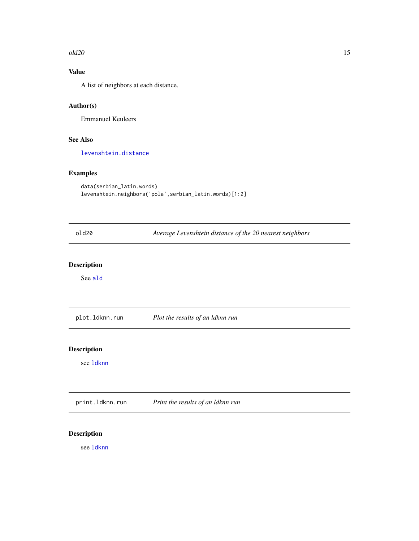#### <span id="page-14-0"></span> $old20$  and  $15$

# Value

A list of neighbors at each distance.

# Author(s)

Emmanuel Keuleers

# See Also

[levenshtein.distance](#page-12-1)

# Examples

```
data(serbian_latin.words)
levenshtein.neighbors('pola',serbian_latin.words)[1:2]
```

| old20                           | Average Levenshtein distance of the 20 nearest neighbors |
|---------------------------------|----------------------------------------------------------|
| <b>Description</b>              |                                                          |
| See ald                         |                                                          |
| plot.ldknn.run                  | Plot the results of an ldknn run                         |
| <b>Description</b><br>see 1dknn |                                                          |
|                                 |                                                          |
| print.ldknn.run                 | Print the results of an ldknn run                        |

# Description

see [ldknn](#page-8-2)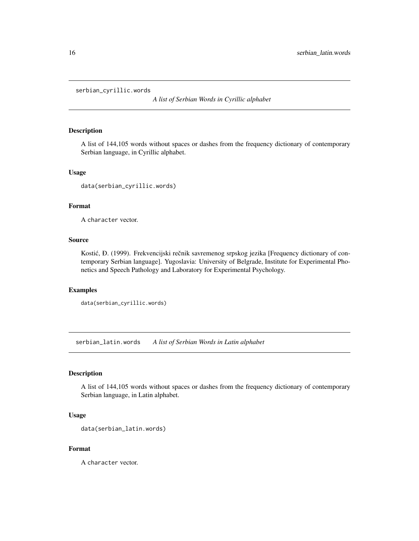<span id="page-15-0"></span>serbian\_cyrillic.words

*A list of Serbian Words in Cyrillic alphabet*

#### Description

A list of 144,105 words without spaces or dashes from the frequency dictionary of contemporary Serbian language, in Cyrillic alphabet.

#### Usage

data(serbian\_cyrillic.words)

# Format

A character vector.

# Source

Kostić, Đ. (1999). Frekvencijski rečnik savremenog srpskog jezika [Frequency dictionary of contemporary Serbian language]. Yugoslavia: University of Belgrade, Institute for Experimental Phonetics and Speech Pathology and Laboratory for Experimental Psychology.

#### Examples

```
data(serbian_cyrillic.words)
```
serbian\_latin.words *A list of Serbian Words in Latin alphabet*

#### Description

A list of 144,105 words without spaces or dashes from the frequency dictionary of contemporary Serbian language, in Latin alphabet.

# Usage

```
data(serbian_latin.words)
```
#### Format

A character vector.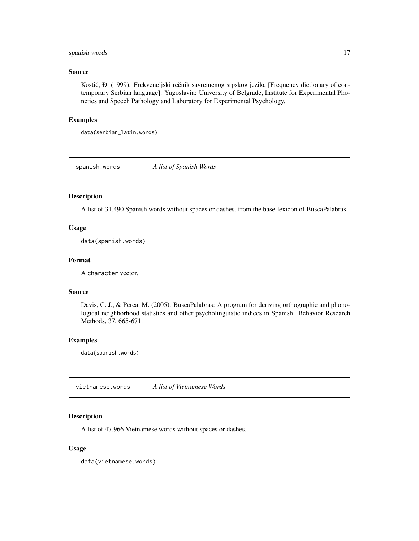# <span id="page-16-0"></span>spanish.words 17

# Source

Kostić, Đ. (1999). Frekvencijski rečnik savremenog srpskog jezika [Frequency dictionary of contemporary Serbian language]. Yugoslavia: University of Belgrade, Institute for Experimental Phonetics and Speech Pathology and Laboratory for Experimental Psychology.

# Examples

```
data(serbian_latin.words)
```
spanish.words *A list of Spanish Words*

# Description

A list of 31,490 Spanish words without spaces or dashes, from the base-lexicon of BuscaPalabras.

# Usage

data(spanish.words)

# Format

A character vector.

#### Source

Davis, C. J., & Perea, M. (2005). BuscaPalabras: A program for deriving orthographic and phonological neighborhood statistics and other psycholinguistic indices in Spanish. Behavior Research Methods, 37, 665-671.

#### Examples

data(spanish.words)

vietnamese.words *A list of Vietnamese Words*

# Description

A list of 47,966 Vietnamese words without spaces or dashes.

#### Usage

data(vietnamese.words)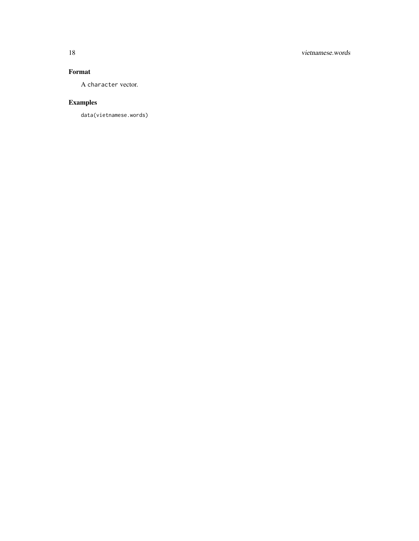# Format

A character vector.

# Examples

data(vietnamese.words)